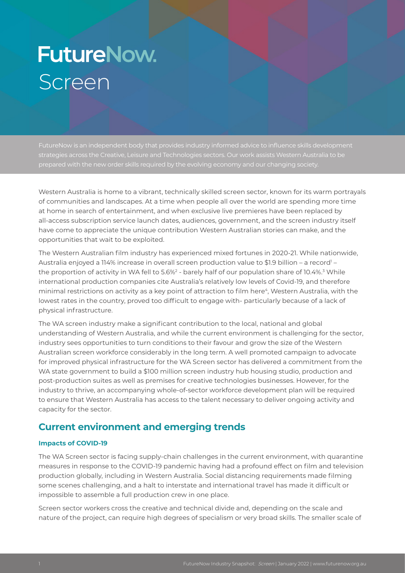# **FutureNow.** Screen

strategies across the Creative, Leisure and Technologies sectors. Our work assists Western Australia to be

Western Australia is home to a vibrant, technically skilled screen sector, known for its warm portrayals of communities and landscapes. At a time when people all over the world are spending more time at home in search of entertainment, and when exclusive live premieres have been replaced by all-access subscription service launch dates, audiences, government, and the screen industry itself have come to appreciate the unique contribution Western Australian stories can make, and the opportunities that wait to be exploited.

The Western Australian film industry has experienced mixed fortunes in 2020-21. While nationwide, Australia enjoyed a 114% increase in overall screen production value to \$1.9 billion – a record' – the proportion of activity in WA fell to 5.6% $^2$  - barely half of our population share of 10.4%. $^3$  While international production companies cite Australia's relatively low levels of Covid-19, and therefore minimal restrictions on activity as a key point of attraction to film here<sup>4</sup>, Western Australia, with the lowest rates in the country, proved too difficult to engage with- particularly because of a lack of physical infrastructure.

The WA screen industry make a significant contribution to the local, national and global understanding of Western Australia, and while the current environment is challenging for the sector, industry sees opportunities to turn conditions to their favour and grow the size of the Western Australian screen workforce considerably in the long term. A well promoted campaign to advocate for improved physical infrastructure for the WA Screen sector has delivered a commitment from the WA state government to build a \$100 million screen industry hub housing studio, production and post-production suites as well as premises for creative technologies businesses. However, for the industry to thrive, an accompanying whole-of-sector workforce development plan will be required to ensure that Western Australia has access to the talent necessary to deliver ongoing activity and capacity for the sector.

# **Current environment and emerging trends**

### **Impacts of COVID-19**

The WA Screen sector is facing supply-chain challenges in the current environment, with quarantine measures in response to the COVID-19 pandemic having had a profound effect on film and television production globally, including in Western Australia. Social distancing requirements made filming some scenes challenging, and a halt to interstate and international travel has made it difficult or impossible to assemble a full production crew in one place.

Screen sector workers cross the creative and technical divide and, depending on the scale and nature of the project, can require high degrees of specialism or very broad skills. The smaller scale of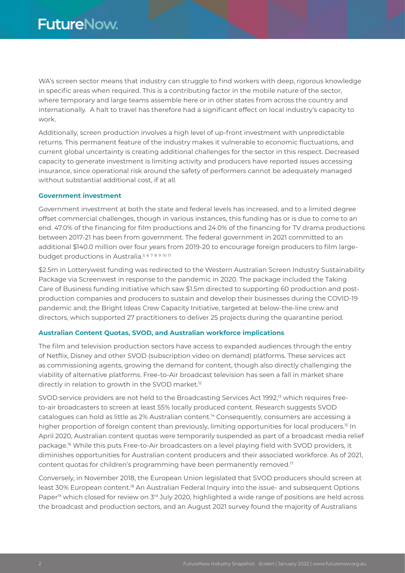WA's screen sector means that industry can struggle to find workers with deep, rigorous knowledge in specific areas when required. This is a contributing factor in the mobile nature of the sector, where temporary and large teams assemble here or in other states from across the country and internationally. A halt to travel has therefore had a significant effect on local industry's capacity to work.

Additionally, screen production involves a high level of up-front investment with unpredictable returns. This permanent feature of the industry makes it vulnerable to economic fluctuations, and current global uncertainty is creating additional challenges for the sector in this respect. Decreased capacity to generate investment is limiting activity and producers have reported issues accessing insurance, since operational risk around the safety of performers cannot be adequately managed without substantial additional cost, if at all.

#### **Government investment**

Government investment at both the state and federal levels has increased, and to a limited degree offset commercial challenges, though in various instances, this funding has or is due to come to an end. 47.0% of the financing for film productions and 24.0% of the financing for TV drama productions between 2017-21 has been from government. The federal government in 2021 committed to an additional \$140.0 million over four years from 2019-20 to encourage foreign producers to film largebudget productions in Australia.<sup>567891011</sup>

\$2.5m in Lotterywest funding was redirected to the Western Australian Screen Industry Sustainability Package via Screenwest in response to the pandemic in 2020. The package included the Taking Care of Business funding initiative which saw \$1.5m directed to supporting 60 production and postproduction companies and producers to sustain and develop their businesses during the COVID-19 pandemic and; the Bright Ideas Crew Capacity Initiative, targeted at below-the-line crew and directors, which supported 27 practitioners to deliver 25 projects during the quarantine period.

#### **Australian Content Quotas, SVOD, and Australian workforce implications**

The film and television production sectors have access to expanded audiences through the entry of Netflix, Disney and other SVOD (subscription video on demand) platforms. These services act as commissioning agents, growing the demand for content, though also directly challenging the viability of alternative platforms. Free-to-Air broadcast television has seen a fall in market share directly in relation to growth in the SVOD market.<sup>12</sup>

SVOD service providers are not held to the Broadcasting Services Act 1992,<sup>13</sup> which requires freeto-air broadcasters to screen at least 55% locally produced content. Research suggests SVOD catalogues can hold as little as 2% Australian content.14 Consequently, consumers are accessing a higher proportion of foreign content than previously, limiting opportunities for local producers.<sup>15</sup> In April 2020, Australian content quotas were temporarily suspended as part of a broadcast media relief package.16 While this puts Free-to-Air broadcasters on a level playing field with SVOD providers, it diminishes opportunities for Australian content producers and their associated workforce. As of 2021, content quotas for children's programming have been permanently removed.<sup>17</sup>

Conversely, in November 2018, the European Union legislated that SVOD producers should screen at least 30% European content.<sup>18</sup> An Australian Federal Inquiry into the issue- and subsequent Options Paper<sup>19</sup> which closed for review on 3<sup>rd</sup> July 2020, highlighted a wide range of positions are held across the broadcast and production sectors, and an August 2021 survey found the majority of Australians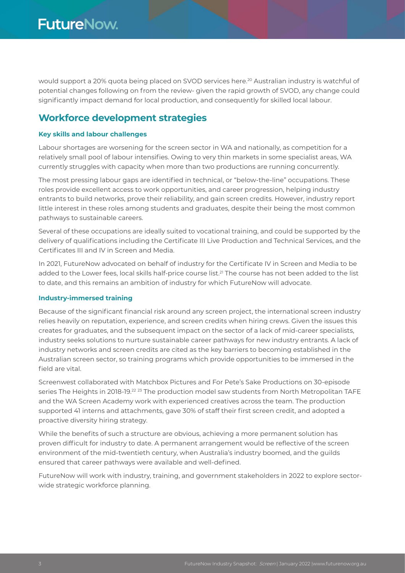would support a 20% quota being placed on SVOD services here.20 Australian industry is watchful of potential changes following on from the review- given the rapid growth of SVOD, any change could significantly impact demand for local production, and consequently for skilled local labour.

## **Workforce development strategies**

#### **Key skills and labour challenges**

Labour shortages are worsening for the screen sector in WA and nationally, as competition for a relatively small pool of labour intensifies. Owing to very thin markets in some specialist areas, WA currently struggles with capacity when more than two productions are running concurrently.

The most pressing labour gaps are identified in technical, or "below-the-line" occupations. These roles provide excellent access to work opportunities, and career progression, helping industry entrants to build networks, prove their reliability, and gain screen credits. However, industry report little interest in these roles among students and graduates, despite their being the most common pathways to sustainable careers.

Several of these occupations are ideally suited to vocational training, and could be supported by the delivery of qualifications including the Certificate III Live Production and Technical Services, and the Certificates III and IV in Screen and Media.

In 2021, FutureNow advocated on behalf of industry for the Certificate IV in Screen and Media to be added to the Lower fees, local skills half-price course list.<sup>21</sup> The course has not been added to the list to date, and this remains an ambition of industry for which FutureNow will advocate.

#### **Industry-immersed training**

Because of the significant financial risk around any screen project, the international screen industry relies heavily on reputation, experience, and screen credits when hiring crews. Given the issues this creates for graduates, and the subsequent impact on the sector of a lack of mid-career specialists, industry seeks solutions to nurture sustainable career pathways for new industry entrants. A lack of industry networks and screen credits are cited as the key barriers to becoming established in the Australian screen sector, so training programs which provide opportunities to be immersed in the field are vital.

Screenwest collaborated with Matchbox Pictures and For Pete's Sake Productions on 30-episode series The Heights in 2018-19.<sup>22 23</sup> The production model saw students from North Metropolitan TAFE and the WA Screen Academy work with experienced creatives across the team. The production supported 41 interns and attachments, gave 30% of staff their first screen credit, and adopted a proactive diversity hiring strategy.

While the benefits of such a structure are obvious, achieving a more permanent solution has proven difficult for industry to date. A permanent arrangement would be reflective of the screen environment of the mid-twentieth century, when Australia's industry boomed, and the guilds ensured that career pathways were available and well-defined.

FutureNow will work with industry, training, and government stakeholders in 2022 to explore sectorwide strategic workforce planning.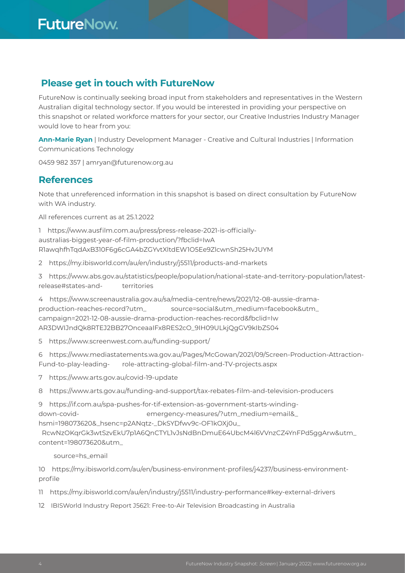# **Please get in touch with FutureNow**

FutureNow is continually seeking broad input from stakeholders and representatives in the Western Australian digital technology sector. If you would be interested in providing your perspective on this snapshot or related workforce matters for your sector, our Creative Industries Industry Manager would love to hear from you:

**Ann-Marie Ryan** | Industry Development Manager - Creative and Cultural Industries | Information Communications Technology

0459 982 357 | amryan@futurenow.org.au

## **References**

Note that unreferenced information in this snapshot is based on direct consultation by FutureNow with WA industry.

All references current as at 25.1.2022

1 https://www.ausfilm.com.au/press/press-release-2021-is-officiallyaustralias-biggest-year-of-film-production/?fbclid=IwA R1awqhfhTqdAxB310F6g6cGA4bZGYvtXltdEW1O5Ee9ZlcwnSh25HvJUYM

2 https://my.ibisworld.com/au/en/industry/j5511/products-and-markets

3 https://www.abs.gov.au/statistics/people/population/national-state-and-territory-population/latestrelease#states-and- territories

- 4 https://www.screenaustralia.gov.au/sa/media-centre/news/2021/12-08-aussie-dramaproduction-reaches-record?utm\_ source=social&utm\_medium=facebook&utm\_ campaign=2021-12-08-aussie-drama-production-reaches-record&fbclid=Iw AR3DWIJndQk8RTEJ2BB27OnceaaIFx8RES2cO\_9IH09ULkjQgGV9kIbZS04
- 5 https://www.screenwest.com.au/funding-support/

6 https://www.mediastatements.wa.gov.au/Pages/McGowan/2021/09/Screen-Production-Attraction-Fund-to-play-leading- role-attracting-global-film-and-TV-projects.aspx

- 7 https://www.arts.gov.au/covid-19-update
- 8 https://www.arts.gov.au/funding-and-support/tax-rebates-film-and-television-producers

9 https://if.com.au/spa-pushes-for-tif-extension-as-government-starts-winding-

down-covid- emergency-measures/?utm\_medium=email&\_

hsmi=198073620&\_hsenc=p2ANqtz-\_DkSYDfwv9c-OF1kOXj0u\_

 RcwNzOKqrGk3wtSzvEkU7p1A6QnCTYL1vJsNdBnDmuE64UbcM4l6VVnzCZ4YnFPd5ggArw&utm\_ content=198073620&utm\_

source=hs\_email

10 https://my.ibisworld.com/au/en/business-environment-profiles/j4237/business-environmentprofile

11 https://my.ibisworld.com/au/en/industry/j5511/industry-performance#key-external-drivers

12 IBISWorld Industry Report J5621: Free-to-Air Television Broadcasting in Australia